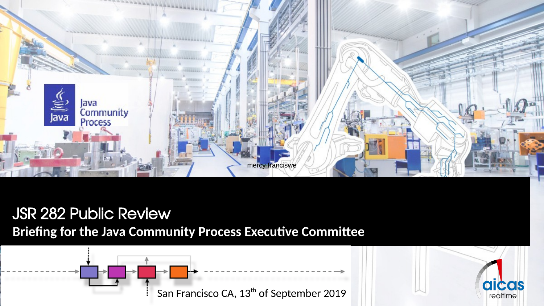

JSR 282 Public Review **Briefing for the Java Community Process Executive Committee** 

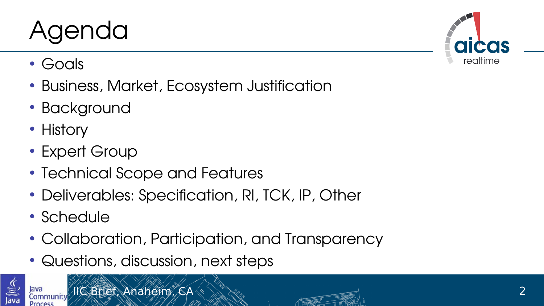## Agenda

- Goals
- Business, Market, Ecosystem Justification
- Background
- History
- Expert Group
- Technical Scope and Features
- Deliverables: Specification, RI, TCK, IP, Other
- Schedule
- Collaboration, Participation, and Transparency
- Questions, discussion, next steps



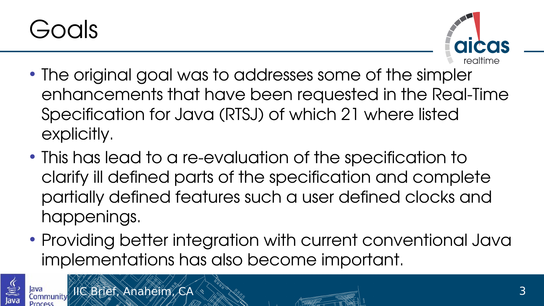



- The original goal was to addresses some of the simpler enhancements that have been requested in the Real-Time Specification for Java (RTSJ) of which 21 where listed explicitly.
- This has lead to a re-evaluation of the specification to clarify ill defined parts of the specification and complete partially defned features such a user defned clocks and happenings.
- Providing better integration with current conventional Java implementations has also become important.



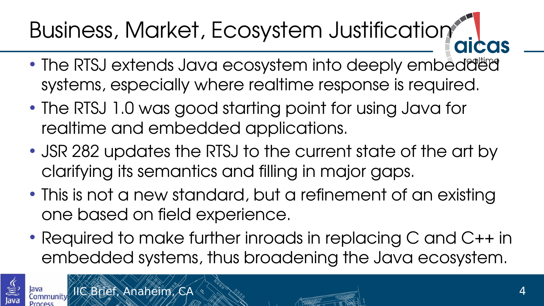## Business, Market, Ecosystem Justification

- The RTSJ extends Java ecosystem into deeply embedded systems, especially where realtime response is required.
- The RTSJ 1.0 was good starting point for using Java for realtime and embedded applications.
- JSR 282 updates the RTSJ to the current state of the art by clarifying its semantics and flling in major gaps.
- This is not a new standard, but a refinement of an existing one based on field experience.
- Required to make further inroads in replacing C and C++ in embedded systems, thus broadening the Java ecosystem.

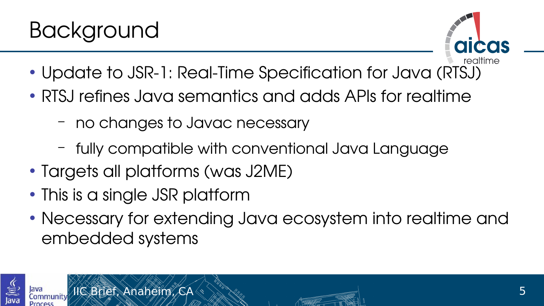



- Update to JSR-1: Real-Time Specification for Java (RTSJ)
- RTSJ refnes Java semantics and adds APIs for realtime
	- no changes to Javac necessary
	- fully compatible with conventional Java Language
- Targets all platforms (was J2ME)
- This is a single JSR platform
- Necessary for extending Java ecosystem into realtime and embedded systems



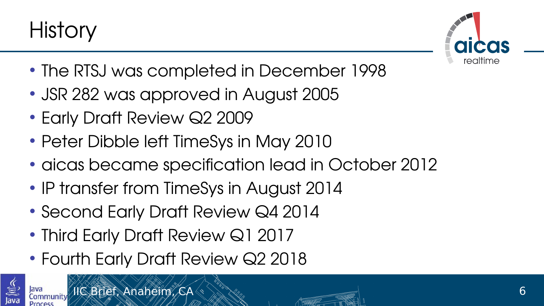



- The RTSJ was completed in December 1998
- JSR 282 was approved in August 2005
- Early Draft Review Q2 2009
- Peter Dibble left TimeSys in May 2010
- aicas became specification lead in October 2012
- IP transfer from TimeSys in August 2014
- Second Early Draft Review Q4 2014
- Third Early Draft Review Q1 2017
- Fourth Early Draft Review Q2 2018

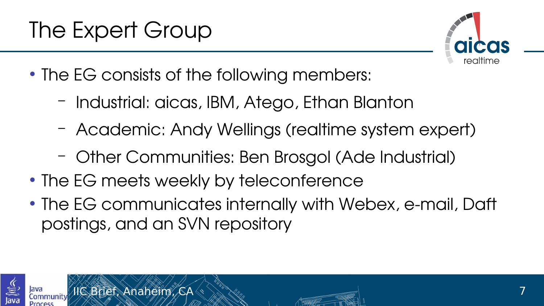

- The EG consists of the following members:
	- Industrial: aicas, IBM, Atego, Ethan Blanton
	- Academic: Andy Wellings (realtime system expert)
	- Other Communities: Ben Brosgol (Ade Industrial)
- The EG meets weekly by teleconference
- The EG communicates internally with Webex, e-mail, Daft postings, and an SVN repository



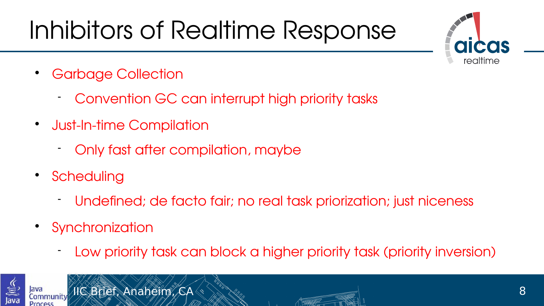# Inhibitors of Realtime Response



- Garbage Collection
	- Convention GC can interrupt high priority tasks
- Just-In-time Compilation
	- Only fast after compilation, maybe
- Scheduling
	- Undefned; de facto fair; no real task priorization; just niceness
- Synchronization
	- Low priority task can block a higher priority task (priority inversion)



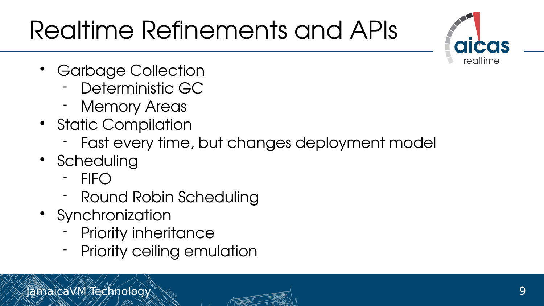# Realtime Refnements and APIs



- Garbage Collection
	- Deterministic GC
	- Memory Areas
- Static Compilation
	- Fast every time, but changes deployment model
- Scheduling
	- FIFO
	- Round Robin Scheduling
- Synchronization
	- Priority inheritance
	- Priority ceiling emulation

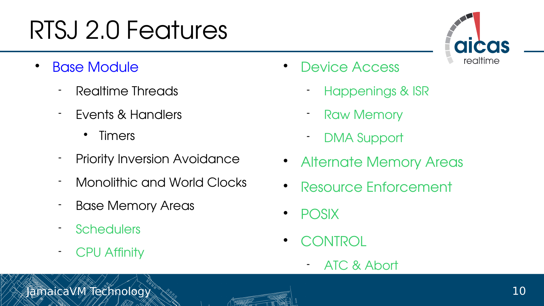## RTSJ 2.0 Features

- Base Module
	- Realtime Threads
	- Events & Handlers
		- Timers
	- Priority Inversion Avoidance
	- Monolithic and World Clocks
	- Base Memory Areas
	- **Schedulers**
	- **CPU Affinity**
- Device Access
	- Happenings & ISR
	- Raw Memory
	- DMA Support
- Alternate Memory Areas
- Resource Enforcement
- $\cdot$  POSIX
- CONTROL
	- ATC & Abort

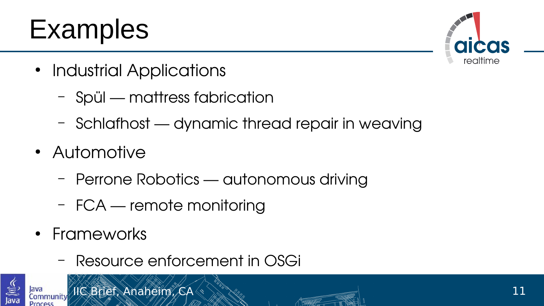## Examples



- Industrial Applications
	- Spül mattress fabrication
	- Schlafhost dynamic thread repair in weaving
- Automotive
	- Perrone Robotics autonomous driving
	- FCA remote monitoring
- Frameworks
	- Resource enforcement in OSGi

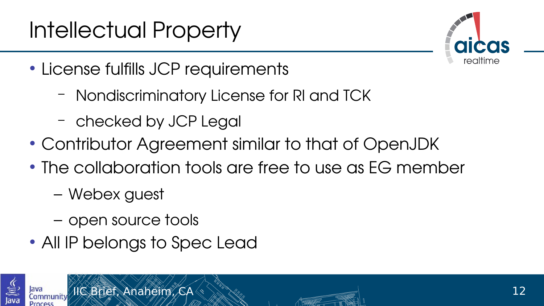#### Intellectual Property



- License fulfills JCP requirements
	- Nondiscriminatory License for RI and TCK
	- checked by JCP Legal
- Contributor Agreement similar to that of OpenJDK
- The collaboration tools are free to use as EG member
	- Webex guest
	- open source tools
- All IP belongs to Spec Lead

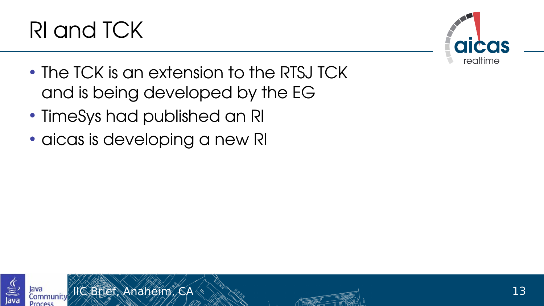



- The TCK is an extension to the RTSJ TCK and is being developed by the EG
- TimeSys had published an RI
- aicas is developing a new RI

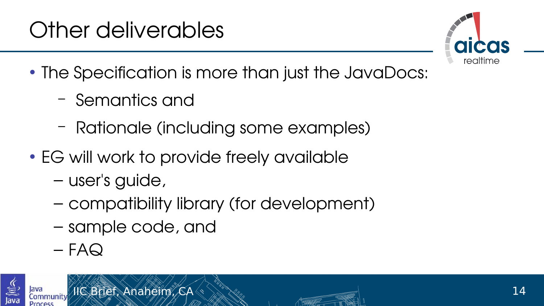#### Other deliverables



- The Specification is more than just the JavaDocs:
	- Semantics and
	- Rationale (including some examples)
- EG will work to provide freely available
	- user's guide,
	- compatibility library (for development)
	- sample code, and
	- $-$  FAQ



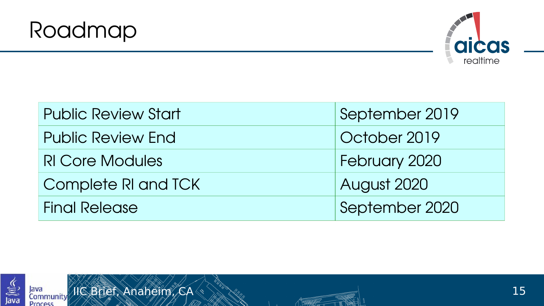



| <b>Public Review Start</b> | September 2019 |
|----------------------------|----------------|
| <b>Public Review End</b>   | October 2019   |
| <b>RI Core Modules</b>     | February 2020  |
| Complete RI and TCK        | August 2020    |
| <b>Final Release</b>       | September 2020 |



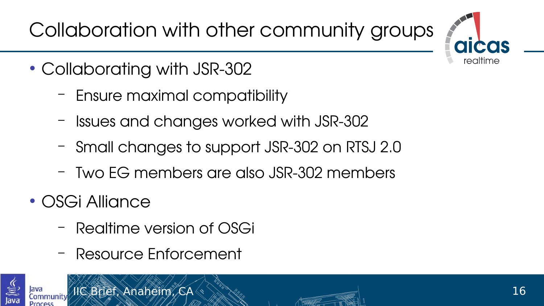Collaboration with other community groups



- Collaborating with JSR-302
	- Ensure maximal compatibility
	- Issues and changes worked with JSR-302
	- Small changes to support JSR-302 on RTSJ 2.0
	- Two EG members are also JSR-302 members
- OSGi Alliance
	- Realtime version of OSGi
	- Resource Enforcement

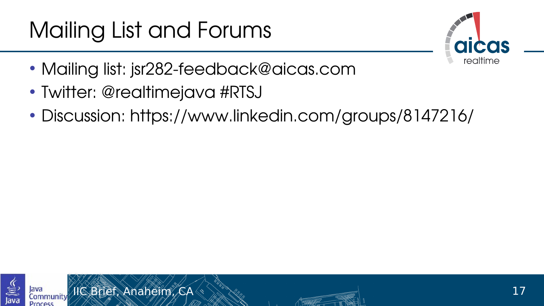#### Mailing List and Forums



- Mailing list: jsr282-feedback@aicas.com
- Twitter: @realtimejava #RTSJ
- Discussion: https://www.linkedin.com/groups/8147216/